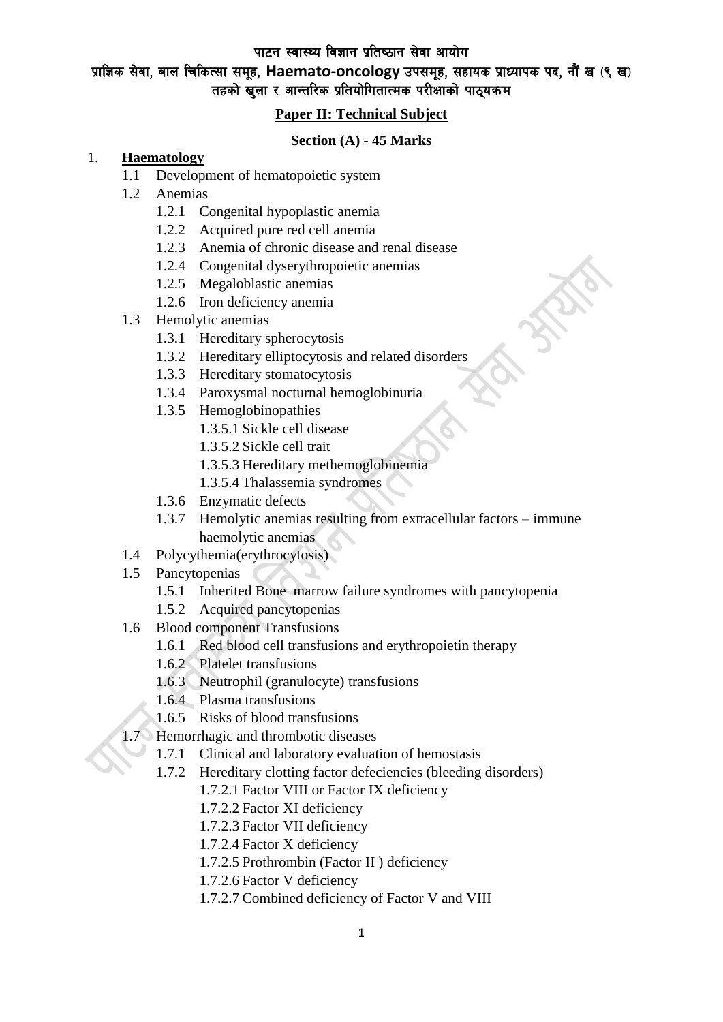# प्राज्ञिक सेवा, बाल चिकित्सा समूह, Haemato-oncology उपसमूह, सहायक प्राध्यापक पद, नौं ख (९ ख) तहको खुला र आन्तरिक प्रतियोगितात्मक परीक्षाको पाठ्यक्रम

### **Paper II: Technical Subject**

#### **Section (A) - 45 Marks**

#### 1. **Haematology**

- 1.1 Development of hematopoietic system
- 1.2 Anemias
	- 1.2.1 Congenital hypoplastic anemia
	- 1.2.2 Acquired pure red cell anemia
	- 1.2.3 Anemia of chronic disease and renal disease
	- 1.2.4 Congenital dyserythropoietic anemias
	- 1.2.5 Megaloblastic anemias
	- 1.2.6 Iron deficiency anemia
- 1.3 Hemolytic anemias
	- 1.3.1 Hereditary spherocytosis
	- 1.3.2 Hereditary elliptocytosis and related disorders
	- 1.3.3 Hereditary stomatocytosis
	- 1.3.4 Paroxysmal nocturnal hemoglobinuria
	- 1.3.5 Hemoglobinopathies
		- 1.3.5.1 Sickle cell disease
		- 1.3.5.2 Sickle cell trait
		- 1.3.5.3 Hereditary methemoglobinemia
		- 1.3.5.4 Thalassemia syndromes
	- 1.3.6 Enzymatic defects
	- 1.3.7 Hemolytic anemias resulting from extracellular factors immune haemolytic anemias
- 1.4 Polycythemia(erythrocytosis)
- 1.5 Pancytopenias
	- 1.5.1 Inherited Bone marrow failure syndromes with pancytopenia
	- 1.5.2 Acquired pancytopenias
- 1.6 Blood component Transfusions
	- 1.6.1 Red blood cell transfusions and erythropoietin therapy
	- 1.6.2 Platelet transfusions
	- 1.6.3 Neutrophil (granulocyte) transfusions
	- 1.6.4 Plasma transfusions
	- 1.6.5 Risks of blood transfusions
- 1.7 Hemorrhagic and thrombotic diseases
	- 1.7.1 Clinical and laboratory evaluation of hemostasis
	- 1.7.2 Hereditary clotting factor defeciencies (bleeding disorders)
		- 1.7.2.1 Factor VIII or Factor IX deficiency
		- 1.7.2.2 Factor XI deficiency
		- 1.7.2.3 Factor VII deficiency
		- 1.7.2.4 Factor X deficiency
		- 1.7.2.5 Prothrombin (Factor II ) deficiency
		- 1.7.2.6 Factor V deficiency
		- 1.7.2.7 Combined deficiency of Factor V and VIII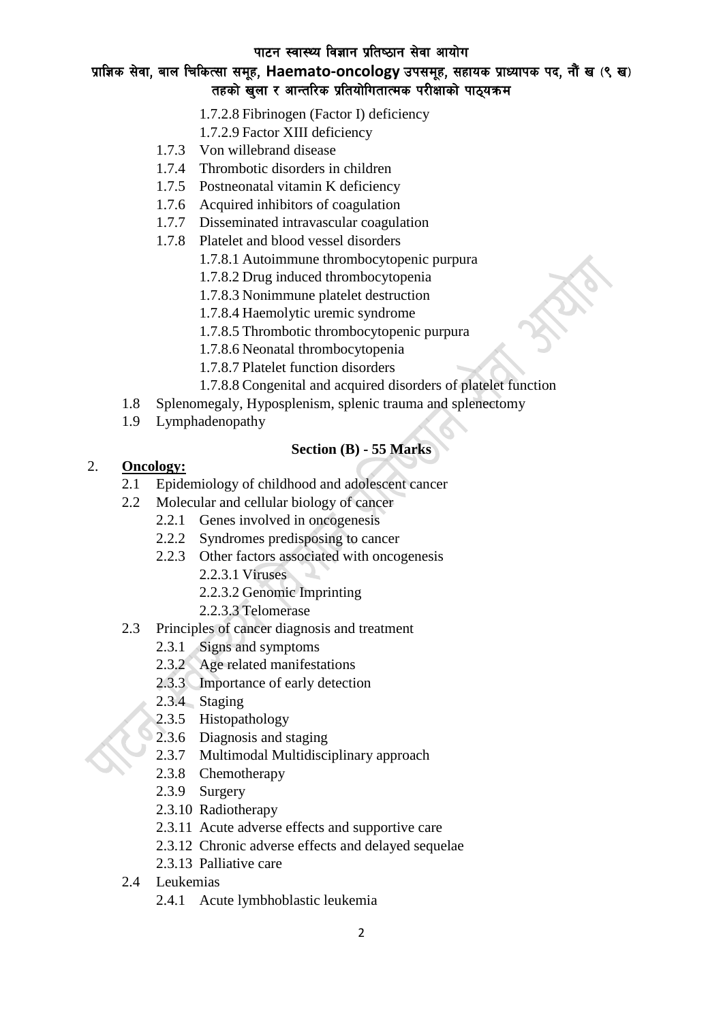# प्राज्ञिक सेवा, बाल चिकित्सा समूह, Haemato-oncology उपसमूह, सहायक प्राध्यापक पद, नौं ख (९ ख) तहको खुला र आन्तरिक प्रतियोगितात्मक परीक्षाको पाठ्यक्रम

- 1.7.2.8 Fibrinogen (Factor I) deficiency
- 1.7.2.9 Factor XIII deficiency
- 1.7.3 Von willebrand disease
- 1.7.4 Thrombotic disorders in children
- 1.7.5 Postneonatal vitamin K deficiency
- 1.7.6 Acquired inhibitors of coagulation
- 1.7.7 Disseminated intravascular coagulation
- 1.7.8 Platelet and blood vessel disorders
	- 1.7.8.1 Autoimmune thrombocytopenic purpura
	- 1.7.8.2 Drug induced thrombocytopenia
	- 1.7.8.3 Nonimmune platelet destruction
	- 1.7.8.4 Haemolytic uremic syndrome
	- 1.7.8.5 Thrombotic thrombocytopenic purpura
	- 1.7.8.6 Neonatal thrombocytopenia
	- 1.7.8.7 Platelet function disorders
	- 1.7.8.8 Congenital and acquired disorders of platelet function
- 1.8 Splenomegaly, Hyposplenism, splenic trauma and splenectomy
- 1.9 Lymphadenopathy

## **Section (B) - 55 Marks**

### 2. **Oncology:**

- 2.1 Epidemiology of childhood and adolescent cancer
- 2.2 Molecular and cellular biology of cancer
	- 2.2.1 Genes involved in oncogenesis
	- 2.2.2 Syndromes predisposing to cancer
	- 2.2.3 Other factors associated with oncogenesis
		- 2.2.3.1 Viruses
		- 2.2.3.2 Genomic Imprinting
		- 2.2.3.3 Telomerase
- 2.3 Principles of cancer diagnosis and treatment
	- 2.3.1 Signs and symptoms
	- 2.3.2 Age related manifestations
	- 2.3.3 Importance of early detection
	- 2.3.4 Staging
	- 2.3.5 Histopathology
	- 2.3.6 Diagnosis and staging
	- 2.3.7 Multimodal Multidisciplinary approach
	- 2.3.8 Chemotherapy
	- 2.3.9 Surgery
	- 2.3.10 Radiotherapy
	- 2.3.11 Acute adverse effects and supportive care
	- 2.3.12 Chronic adverse effects and delayed sequelae
	- 2.3.13 Palliative care
- 2.4 Leukemias
	- 2.4.1 Acute lymbhoblastic leukemia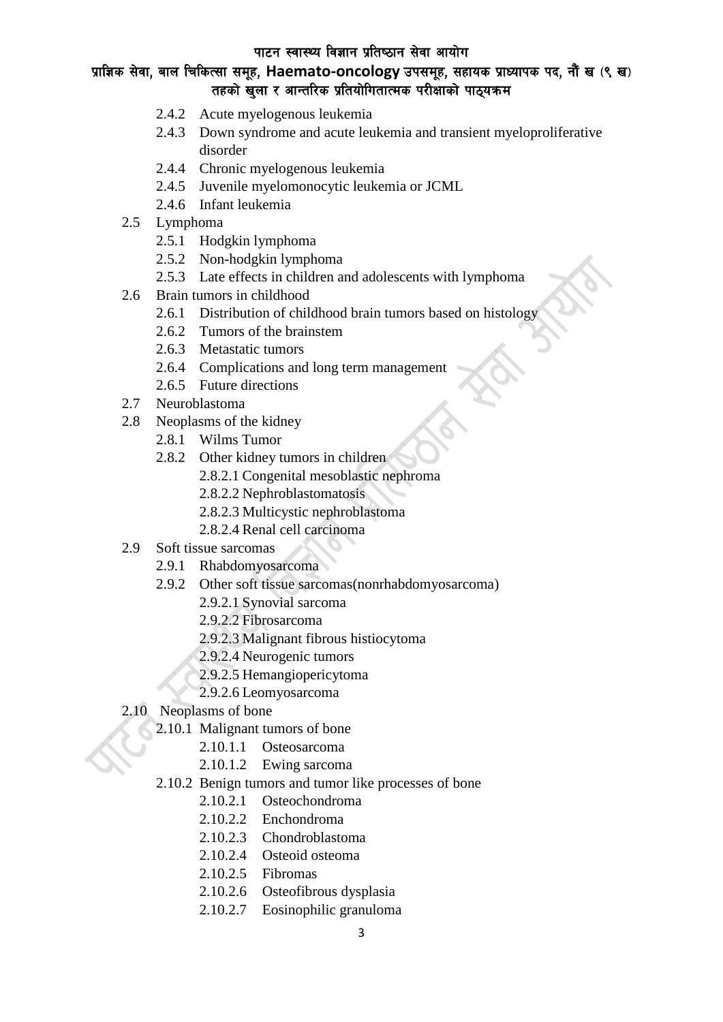# प्राज्ञिक सेवा, बाल चिकित्सा समूह, Haemato-oncology उपसमूह, सहायक प्राध्यापक पद, नौं ख (९ ख) तहको खुला र आन्तरिक प्रतियोगितात्मक परीक्षाको पाठ्यक्रम

- 2.4.2 Acute myelogenous leukemia
- 2.4.3 Down syndrome and acute leukemia and transient myeloproliferative disorder
- 2.4.4 Chronic myelogenous leukemia
- 2.4.5 Juvenile myelomonocytic leukemia or JCML
- 2.4.6 Infant leukemia
- 2.5 Lymphoma
	- 2.5.1 Hodgkin lymphoma
	- 2.5.2 Non-hodgkin lymphoma
	- 2.5.3 Late effects in children and adolescents with lymphoma
- 2.6 Brain tumors in childhood
	- 2.6.1 Distribution of childhood brain tumors based on histology
	- 2.6.2 Tumors of the brainstem
	- 2.6.3 Metastatic tumors
	- 2.6.4 Complications and long term management
	- 2.6.5 Future directions
- 2.7 Neuroblastoma
- 2.8 Neoplasms of the kidney
	- 2.8.1 Wilms Tumor
		- 2.8.2 Other kidney tumors in children
			- 2.8.2.1 Congenital mesoblastic nephroma
			- 2.8.2.2 Nephroblastomatosis
			- 2.8.2.3 Multicystic nephroblastoma
			- 2.8.2.4 Renal cell carcinoma
- 2.9 Soft tissue sarcomas
	- 2.9.1 Rhabdomyosarcoma
	- 2.9.2 Other soft tissue sarcomas(nonrhabdomyosarcoma)
		- 2.9.2.1 Synovial sarcoma
		- 2.9.2.2 Fibrosarcoma
		- 2.9.2.3 Malignant fibrous histiocytoma
		- 2.9.2.4 Neurogenic tumors
		- 2.9.2.5 Hemangiopericytoma
		- 2.9.2.6 Leomyosarcoma
- 2.10 Neoplasms of bone
	- 2.10.1 Malignant tumors of bone
		- 2.10.1.1 Osteosarcoma
		- 2.10.1.2 Ewing sarcoma
	- 2.10.2 Benign tumors and tumor like processes of bone
		- 2.10.2.1 Osteochondroma
		- 2.10.2.2 Enchondroma
		- 2.10.2.3 Chondroblastoma
		- 2.10.2.4 Osteoid osteoma
		- 2.10.2.5 Fibromas
		- 2.10.2.6 Osteofibrous dysplasia
		- 2.10.2.7 Eosinophilic granuloma